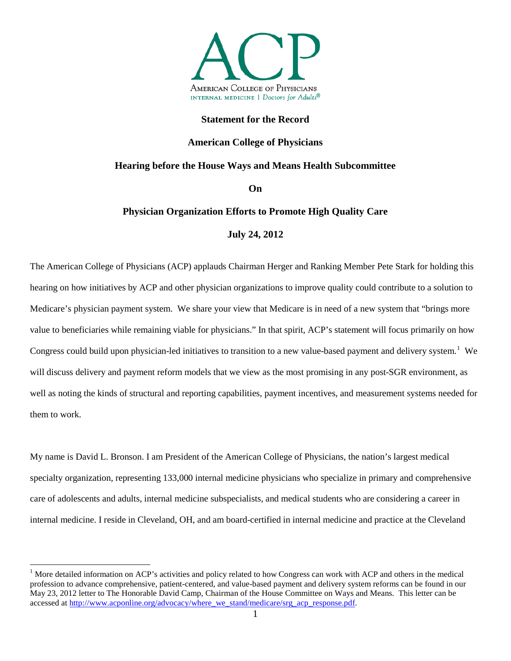

# **Statement for the Record**

# **American College of Physicians**

# **Hearing before the House Ways and Means Health Subcommittee**

**On**

# **Physician Organization Efforts to Promote High Quality Care**

# **July 24, 2012**

The American College of Physicians (ACP) applauds Chairman Herger and Ranking Member Pete Stark for holding this hearing on how initiatives by ACP and other physician organizations to improve quality could contribute to a solution to Medicare's physician payment system. We share your view that Medicare is in need of a new system that "brings more value to beneficiaries while remaining viable for physicians." In that spirit, ACP's statement will focus primarily on how Congress could build upon physician-led initiatives to transition to a new value-based payment and delivery system.<sup>[1](#page-0-0)</sup> We will discuss delivery and payment reform models that we view as the most promising in any post-SGR environment, as well as noting the kinds of structural and reporting capabilities, payment incentives, and measurement systems needed for them to work.

My name is David L. Bronson. I am President of the American College of Physicians, the nation's largest medical specialty organization, representing 133,000 internal medicine physicians who specialize in primary and comprehensive care of adolescents and adults, internal medicine subspecialists, and medical students who are considering a career in internal medicine. I reside in Cleveland, OH, and am board-certified in internal medicine and practice at the Cleveland

<span id="page-0-0"></span><sup>&</sup>lt;sup>1</sup> More detailed information on ACP's activities and policy related to how Congress can work with ACP and others in the medical profession to advance comprehensive, patient-centered, and value-based payment and delivery system reforms can be found in our May 23, 2012 letter to The Honorable David Camp, Chairman of the House Committee on Ways and Means. This letter can be accessed at [http://www.acponline.org/advocacy/where\\_we\\_stand/medicare/srg\\_acp\\_response.pdf.](http://www.acponline.org/advocacy/where_we_stand/medicare/srg_acp_response.pdf)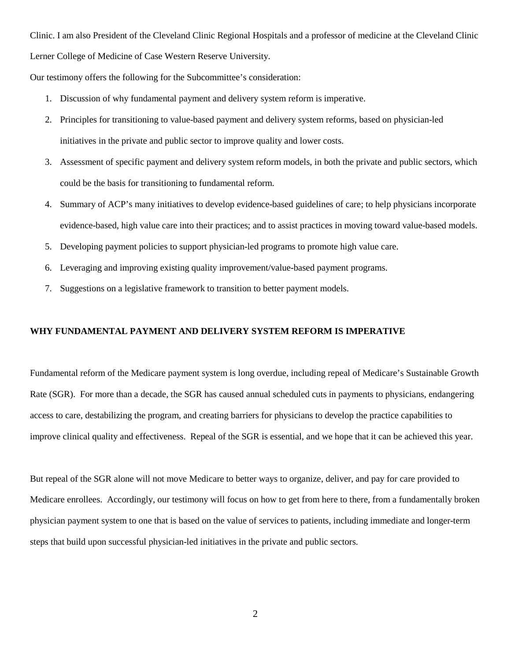Clinic. I am also President of the Cleveland Clinic Regional Hospitals and a professor of medicine at the Cleveland Clinic Lerner College of Medicine of Case Western Reserve University.

Our testimony offers the following for the Subcommittee's consideration:

- 1. Discussion of why fundamental payment and delivery system reform is imperative.
- 2. Principles for transitioning to value-based payment and delivery system reforms, based on physician-led initiatives in the private and public sector to improve quality and lower costs.
- 3. Assessment of specific payment and delivery system reform models, in both the private and public sectors, which could be the basis for transitioning to fundamental reform.
- 4. Summary of ACP's many initiatives to develop evidence-based guidelines of care; to help physicians incorporate evidence-based, high value care into their practices; and to assist practices in moving toward value-based models.
- 5. Developing payment policies to support physician-led programs to promote high value care.
- 6. Leveraging and improving existing quality improvement/value-based payment programs.
- 7. Suggestions on a legislative framework to transition to better payment models.

# **WHY FUNDAMENTAL PAYMENT AND DELIVERY SYSTEM REFORM IS IMPERATIVE**

Fundamental reform of the Medicare payment system is long overdue, including repeal of Medicare's Sustainable Growth Rate (SGR). For more than a decade, the SGR has caused annual scheduled cuts in payments to physicians, endangering access to care, destabilizing the program, and creating barriers for physicians to develop the practice capabilities to improve clinical quality and effectiveness. Repeal of the SGR is essential, and we hope that it can be achieved this year.

But repeal of the SGR alone will not move Medicare to better ways to organize, deliver, and pay for care provided to Medicare enrollees. Accordingly, our testimony will focus on how to get from here to there, from a fundamentally broken physician payment system to one that is based on the value of services to patients, including immediate and longer-term steps that build upon successful physician-led initiatives in the private and public sectors.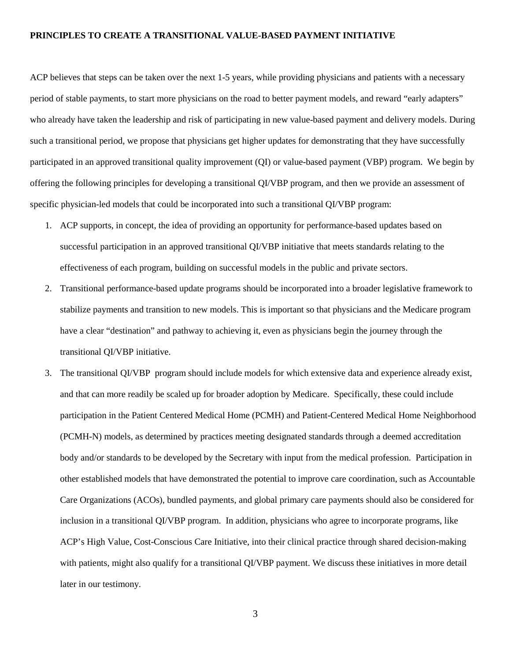#### **PRINCIPLES TO CREATE A TRANSITIONAL VALUE-BASED PAYMENT INITIATIVE**

ACP believes that steps can be taken over the next 1-5 years, while providing physicians and patients with a necessary period of stable payments, to start more physicians on the road to better payment models, and reward "early adapters" who already have taken the leadership and risk of participating in new value-based payment and delivery models. During such a transitional period, we propose that physicians get higher updates for demonstrating that they have successfully participated in an approved transitional quality improvement (QI) or value-based payment (VBP) program. We begin by offering the following principles for developing a transitional QI/VBP program, and then we provide an assessment of specific physician-led models that could be incorporated into such a transitional QI/VBP program:

- 1. ACP supports, in concept, the idea of providing an opportunity for performance-based updates based on successful participation in an approved transitional QI/VBP initiative that meets standards relating to the effectiveness of each program, building on successful models in the public and private sectors.
- 2. Transitional performance-based update programs should be incorporated into a broader legislative framework to stabilize payments and transition to new models. This is important so that physicians and the Medicare program have a clear "destination" and pathway to achieving it, even as physicians begin the journey through the transitional QI/VBP initiative.
- 3. The transitional QI/VBP program should include models for which extensive data and experience already exist, and that can more readily be scaled up for broader adoption by Medicare. Specifically, these could include participation in the Patient Centered Medical Home (PCMH) and Patient-Centered Medical Home Neighborhood (PCMH-N) models, as determined by practices meeting designated standards through a deemed accreditation body and/or standards to be developed by the Secretary with input from the medical profession. Participation in other established models that have demonstrated the potential to improve care coordination, such as Accountable Care Organizations (ACOs), bundled payments, and global primary care payments should also be considered for inclusion in a transitional QI/VBP program. In addition, physicians who agree to incorporate programs, like ACP's High Value, Cost-Conscious Care Initiative, into their clinical practice through shared decision-making with patients, might also qualify for a transitional QI/VBP payment. We discuss these initiatives in more detail later in our testimony.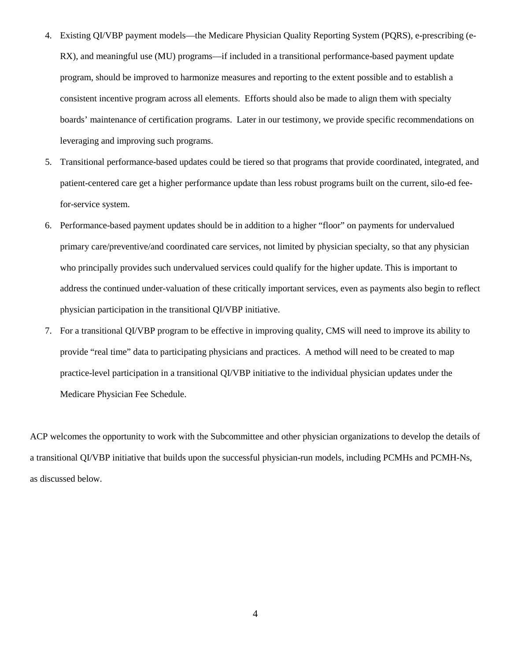- 4. Existing QI/VBP payment models—the Medicare Physician Quality Reporting System (PQRS), e-prescribing (e-RX), and meaningful use (MU) programs—if included in a transitional performance-based payment update program, should be improved to harmonize measures and reporting to the extent possible and to establish a consistent incentive program across all elements. Efforts should also be made to align them with specialty boards' maintenance of certification programs. Later in our testimony, we provide specific recommendations on leveraging and improving such programs.
- 5. Transitional performance-based updates could be tiered so that programs that provide coordinated, integrated, and patient-centered care get a higher performance update than less robust programs built on the current, silo-ed feefor-service system.
- 6. Performance-based payment updates should be in addition to a higher "floor" on payments for undervalued primary care/preventive/and coordinated care services, not limited by physician specialty, so that any physician who principally provides such undervalued services could qualify for the higher update. This is important to address the continued under-valuation of these critically important services, even as payments also begin to reflect physician participation in the transitional QI/VBP initiative.
- 7. For a transitional QI/VBP program to be effective in improving quality, CMS will need to improve its ability to provide "real time" data to participating physicians and practices. A method will need to be created to map practice-level participation in a transitional QI/VBP initiative to the individual physician updates under the Medicare Physician Fee Schedule.

ACP welcomes the opportunity to work with the Subcommittee and other physician organizations to develop the details of a transitional QI/VBP initiative that builds upon the successful physician-run models, including PCMHs and PCMH-Ns, as discussed below.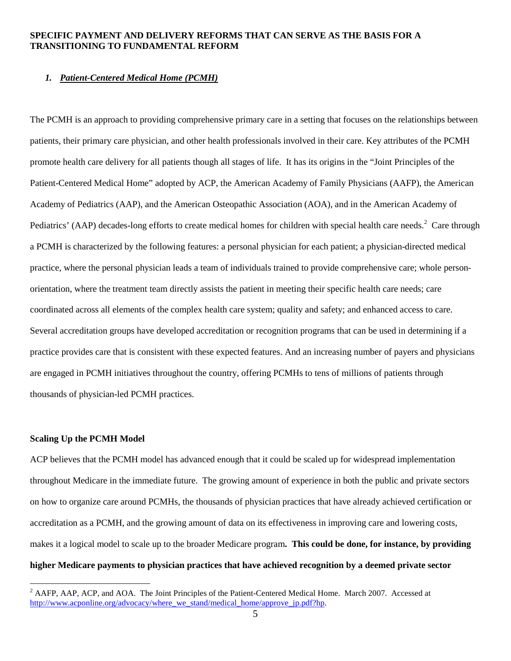# **SPECIFIC PAYMENT AND DELIVERY REFORMS THAT CAN SERVE AS THE BASIS FOR A TRANSITIONING TO FUNDAMENTAL REFORM**

# *1. Patient-Centered Medical Home (PCMH)*

The PCMH is an approach to providing comprehensive primary care in a setting that focuses on the relationships between patients, their primary care physician, and other health professionals involved in their care. Key attributes of the PCMH promote health care delivery for all patients though all stages of life. It has its origins in the "Joint Principles of the Patient-Centered Medical Home" adopted by ACP, the American Academy of Family Physicians (AAFP), the American Academy of Pediatrics (AAP), and the American Osteopathic Association (AOA), and in the American Academy of Pediatrics' (AAP) decades-long efforts to create medical homes for children with special health care needs.<sup>[2](#page-4-0)</sup> Care through a PCMH is characterized by the following features: a personal physician for each patient; a physician-directed medical practice, where the personal physician leads a team of individuals trained to provide comprehensive care; whole personorientation, where the treatment team directly assists the patient in meeting their specific health care needs; care coordinated across all elements of the complex health care system; quality and safety; and enhanced access to care. Several accreditation groups have developed accreditation or recognition programs that can be used in determining if a practice provides care that is consistent with these expected features. And an increasing number of payers and physicians are engaged in PCMH initiatives throughout the country, offering PCMHs to tens of millions of patients through thousands of physician-led PCMH practices.

#### **Scaling Up the PCMH Model**

ACP believes that the PCMH model has advanced enough that it could be scaled up for widespread implementation throughout Medicare in the immediate future. The growing amount of experience in both the public and private sectors on how to organize care around PCMHs, the thousands of physician practices that have already achieved certification or accreditation as a PCMH, and the growing amount of data on its effectiveness in improving care and lowering costs, makes it a logical model to scale up to the broader Medicare program**. This could be done, for instance, by providing higher Medicare payments to physician practices that have achieved recognition by a deemed private sector** 

<span id="page-4-0"></span><sup>&</sup>lt;sup>2</sup> AAFP, AAP, ACP, and AOA. The Joint Principles of the Patient-Centered Medical Home. March 2007. Accessed at http://www.acponline.org/advocacy/where\_we\_stand/medical\_home/approve\_ip.pdf?hp.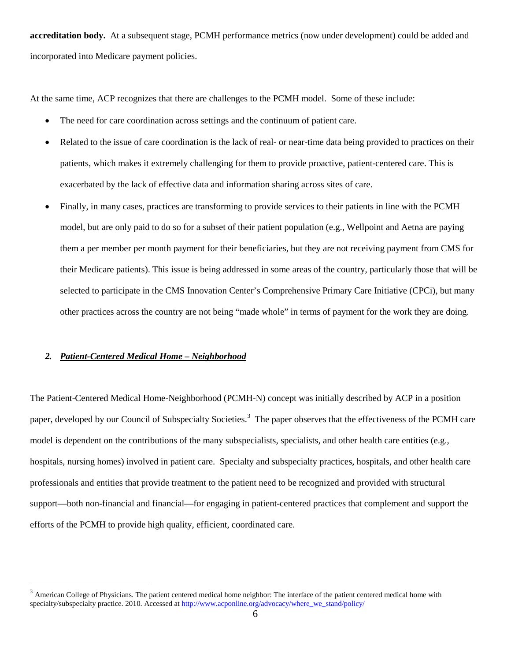**accreditation body.** At a subsequent stage, PCMH performance metrics (now under development) could be added and incorporated into Medicare payment policies.

At the same time, ACP recognizes that there are challenges to the PCMH model. Some of these include:

- The need for care coordination across settings and the continuum of patient care.
- Related to the issue of care coordination is the lack of real- or near-time data being provided to practices on their patients, which makes it extremely challenging for them to provide proactive, patient-centered care. This is exacerbated by the lack of effective data and information sharing across sites of care.
- Finally, in many cases, practices are transforming to provide services to their patients in line with the PCMH model, but are only paid to do so for a subset of their patient population (e.g., Wellpoint and Aetna are paying them a per member per month payment for their beneficiaries, but they are not receiving payment from CMS for their Medicare patients). This issue is being addressed in some areas of the country, particularly those that will be selected to participate in the CMS Innovation Center's Comprehensive Primary Care Initiative (CPCi), but many other practices across the country are not being "made whole" in terms of payment for the work they are doing.

# *2. Patient-Centered Medical Home – Neighborhood*

The Patient-Centered Medical Home-Neighborhood (PCMH-N) concept was initially described by ACP in a position paper, developed by our Council of Subspecialty Societies.<sup>[3](#page-5-0)</sup> The paper observes that the effectiveness of the PCMH care model is dependent on the contributions of the many subspecialists, specialists, and other health care entities (e.g., hospitals, nursing homes) involved in patient care. Specialty and subspecialty practices, hospitals, and other health care professionals and entities that provide treatment to the patient need to be recognized and provided with structural support—both non-financial and financial—for engaging in patient-centered practices that complement and support the efforts of the PCMH to provide high quality, efficient, coordinated care.

<span id="page-5-0"></span> $3$  American College of Physicians. The patient centered medical home neighbor: The interface of the patient centered medical home with specialty/subspecialty practice. 2010. Accessed a[t http://www.acponline.org/advocacy/where\\_we\\_stand/policy/](http://www.acponline.org/advocacy/where_we_stand/policy/)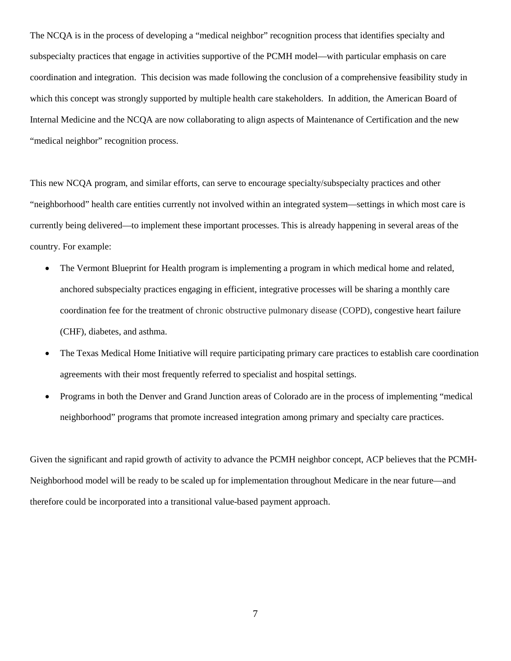The NCQA is in the process of developing a "medical neighbor" recognition process that identifies specialty and subspecialty practices that engage in activities supportive of the PCMH model—with particular emphasis on care coordination and integration. This decision was made following the conclusion of a comprehensive feasibility study in which this concept was strongly supported by multiple health care stakeholders. In addition, the American Board of Internal Medicine and the NCQA are now collaborating to align aspects of Maintenance of Certification and the new "medical neighbor" recognition process.

This new NCQA program, and similar efforts, can serve to encourage specialty/subspecialty practices and other "neighborhood" health care entities currently not involved within an integrated system—settings in which most care is currently being delivered—to implement these important processes. This is already happening in several areas of the country. For example:

- The Vermont Blueprint for Health program is implementing a program in which medical home and related, anchored subspecialty practices engaging in efficient, integrative processes will be sharing a monthly care coordination fee for the treatment of chronic obstructive pulmonary disease (COPD), congestive heart failure (CHF), diabetes, and asthma.
- The Texas Medical Home Initiative will require participating primary care practices to establish care coordination agreements with their most frequently referred to specialist and hospital settings.
- Programs in both the Denver and Grand Junction areas of Colorado are in the process of implementing "medical neighborhood" programs that promote increased integration among primary and specialty care practices.

Given the significant and rapid growth of activity to advance the PCMH neighbor concept, ACP believes that the PCMH-Neighborhood model will be ready to be scaled up for implementation throughout Medicare in the near future—and therefore could be incorporated into a transitional value-based payment approach.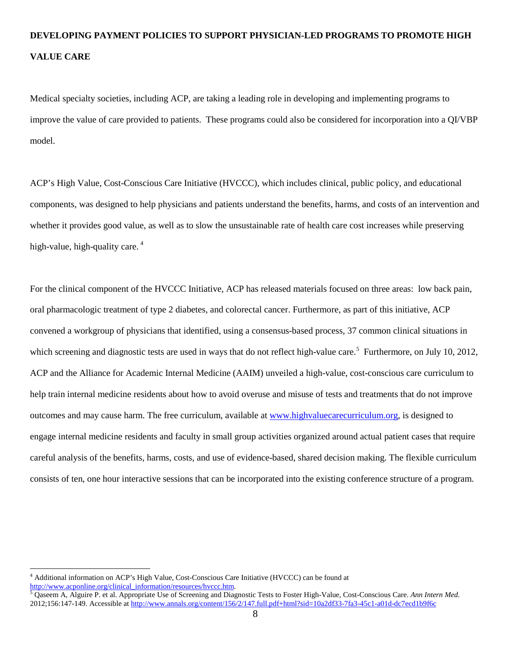# **DEVELOPING PAYMENT POLICIES TO SUPPORT PHYSICIAN-LED PROGRAMS TO PROMOTE HIGH VALUE CARE**

Medical specialty societies, including ACP, are taking a leading role in developing and implementing programs to improve the value of care provided to patients. These programs could also be considered for incorporation into a QI/VBP model.

ACP's High Value, Cost-Conscious Care Initiative (HVCCC), which includes clinical, public policy, and educational components, was designed to help physicians and patients understand the benefits, harms, and costs of an intervention and whether it provides good value, as well as to slow the unsustainable rate of health care cost increases while preserving high-value, high-quality care.  $4\overline{ }$  $4\overline{ }$ 

For the clinical component of the HVCCC Initiative, ACP has released materials focused on three areas: low back pain, oral pharmacologic treatment of type 2 diabetes, and colorectal cancer. Furthermore, as part of this initiative, ACP convened a workgroup of physicians that identified, using a consensus-based process, 37 common clinical situations in which screening and diagnostic tests are used in ways that do not reflect high-value care.<sup>[5](#page-7-1)</sup> Furthermore, on July 10, 2012, outcomes and may cause harm. The free curriculum, available at www.highvaluecarecurriculum.org, is designed to ACP and the Alliance for Academic Internal Medicine (AAIM) unveiled a high-value, cost-conscious care curriculum to help train internal medicine residents about how to avoid overuse and misuse of tests and treatments that do not improve engage internal medicine residents and faculty in small group activities organized around actual patient cases that require careful analysis of the benefits, harms, costs, and use of evidence-based, shared decision making. The flexible curriculum consists of ten, one hour interactive sessions that can be incorporated into the existing conference structure of a program.

<span id="page-7-0"></span><sup>&</sup>lt;sup>4</sup> Additional information on ACP's High Value, Cost-Conscious Care Initiative (HVCCC) can be found at  $\frac{http://www.acpondine.org/clinical-information/resources/hvccc.htm}{5}$ .

<span id="page-7-1"></span>Qaseem A, Alguire P. et al. Appropriate Use of Screening and Diagnostic Tests to Foster High-Value, Cost-Conscious Care. *Ann Intern Med.* 2012;156:147-149. Accessible at<http://www.annals.org/content/156/2/147.full.pdf+html?sid=10a2df33-7fa3-45c1-a01d-dc7ecd1b9f6c>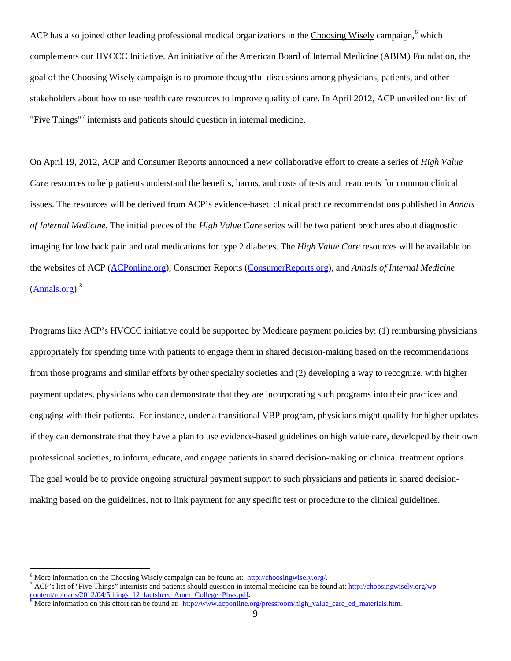ACP has also joined other leading professional medical organizations in the Choosing Wisely campaign,<sup>[6](#page-8-0)</sup> which complements our HVCCC Initiative. An initiative of the American Board of Internal Medicine (ABIM) Foundation, the goal of the Choosing Wisely campaign is to promote thoughtful discussions among physicians, patients, and other stakeholders about how to use health care resources to improve quality of care. In April 2012, ACP unveiled our list of "Five Things"[7](#page-8-1) internists and patients should question in internal medicine.

On April 19, 2012, ACP and Consumer Reports announced a new collaborative effort to create a series of *High Value Care* resources to help patients understand the benefits, harms, and costs of tests and treatments for common clinical issues. The resources will be derived from ACP's evidence-based clinical practice recommendations published in *Annals of Internal Medicine*. The initial pieces of the *High Value Care* series will be two patient brochures about diagnostic imaging for low back pain and oral medications for type 2 diabetes. The *High Value Care* resources will be available on the websites of ACP [\(ACPonline.org\)](http://www.acponline.org/index.html), Consumer Reports [\(ConsumerReports.org\)](http://consumerreports.org/), and *Annals of Internal Medicine*  $(Annals.org)<sup>8</sup>$  $(Annals.org)<sup>8</sup>$  $(Annals.org)<sup>8</sup>$  $(Annals.org)<sup>8</sup>$ 

Programs like ACP's HVCCC initiative could be supported by Medicare payment policies by: (1) reimbursing physicians appropriately for spending time with patients to engage them in shared decision-making based on the recommendations from those programs and similar efforts by other specialty societies and (2) developing a way to recognize, with higher payment updates, physicians who can demonstrate that they are incorporating such programs into their practices and engaging with their patients. For instance, under a transitional VBP program, physicians might qualify for higher updates if they can demonstrate that they have a plan to use evidence-based guidelines on high value care, developed by their own professional societies, to inform, educate, and engage patients in shared decision-making on clinical treatment options. The goal would be to provide ongoing structural payment support to such physicians and patients in shared decisionmaking based on the guidelines, not to link payment for any specific test or procedure to the clinical guidelines.

<span id="page-8-1"></span><span id="page-8-0"></span><sup>&</sup>lt;sup>6</sup> More information on the Choosing Wisely campaign can be found at:  $\frac{http://choosingwisely.org/}{http://choosingwisely.org/}$ .<br><sup>7</sup> ACP's list of "Five Things" internists and patients should question in internal medicine can be found at: http://choosingw [content/uploads/2012/04/5things\\_12\\_factsheet\\_Amer\\_College\\_Phys.pdf](http://choosingwisely.org/wp-content/uploads/2012/04/5things_12_factsheet_Amer_College_Phys.pdf).<br><sup>8</sup> More information on this effort can be found at: [http://www.acponline.org/pressroom/high\\_value\\_care\\_ed\\_materials.htm.](http://www.acponline.org/pressroom/high_value_care_ed_materials.htm)

<span id="page-8-2"></span>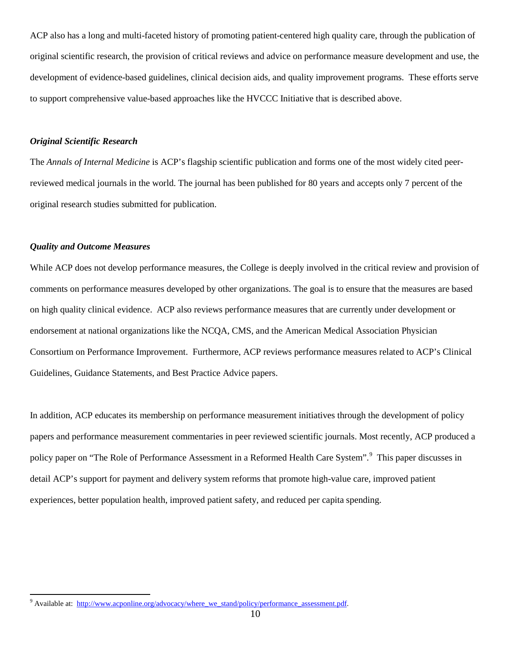ACP also has a long and multi-faceted history of promoting patient-centered high quality care, through the publication of original scientific research, the provision of critical reviews and advice on performance measure development and use, the development of evidence-based guidelines, clinical decision aids, and quality improvement programs. These efforts serve to support comprehensive value-based approaches like the HVCCC Initiative that is described above.

## *Original Scientific Research*

The *Annals of Internal Medicine* is ACP's flagship scientific publication and forms one of the most widely cited peerreviewed medical journals in the world. The journal has been published for 80 years and accepts only 7 percent of the original research studies submitted for publication.

#### *Quality and Outcome Measures*

While ACP does not develop performance measures, the College is deeply involved in the critical review and provision of comments on performance measures developed by other organizations. The goal is to ensure that the measures are based on high quality clinical evidence. ACP also reviews performance measures that are currently under development or endorsement at national organizations like the NCQA, CMS, and the American Medical Association Physician Consortium on Performance Improvement. Furthermore, ACP reviews performance measures related to ACP's Clinical Guidelines, Guidance Statements, and Best Practice Advice papers.

In addition, ACP educates its membership on performance measurement initiatives through the development of policy papers and performance measurement commentaries in peer reviewed scientific journals. Most recently, ACP produced a policy paper on "The Role of Performance Assessment in a Reformed Health Care System".<sup>[9](#page-9-0)</sup> This paper discusses in detail ACP's support for payment and delivery system reforms that promote high-value care, improved patient experiences, better population health, improved patient safety, and reduced per capita spending.

<span id="page-9-0"></span><sup>&</sup>lt;sup>9</sup> Available at: http://www.acponline.org/advocacy/where\_we\_stand/policy/performance\_assessment.pdf.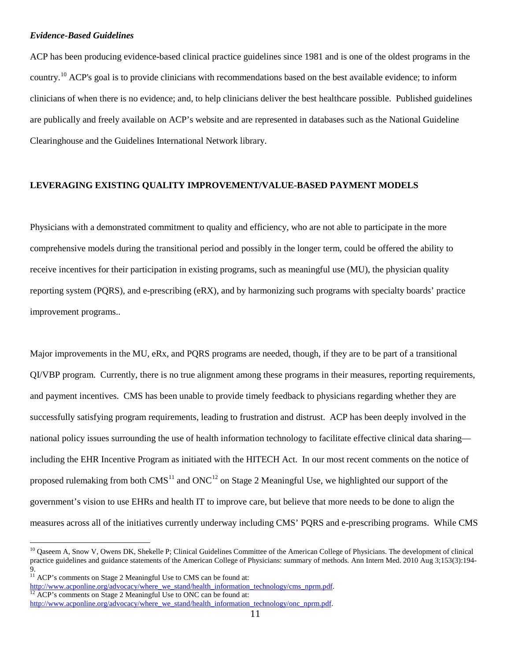## *Evidence-Based Guidelines*

ACP has been producing evidence-based clinical practice guidelines since 1981 and is one of the oldest programs in the country.<sup>[10](#page-10-0)</sup> ACP's goal is to provide clinicians with recommendations based on the best available evidence; to inform clinicians of when there is no evidence; and, to help clinicians deliver the best healthcare possible. Published guidelines are publically and freely available on ACP's website and are represented in databases such as the National Guideline Clearinghouse and the Guidelines International Network library.

# **LEVERAGING EXISTING QUALITY IMPROVEMENT/VALUE-BASED PAYMENT MODELS**

Physicians with a demonstrated commitment to quality and efficiency, who are not able to participate in the more comprehensive models during the transitional period and possibly in the longer term, could be offered the ability to receive incentives for their participation in existing programs, such as meaningful use (MU), the physician quality reporting system (PQRS), and e-prescribing (eRX), and by harmonizing such programs with specialty boards' practice improvement programs..

Major improvements in the MU, eRx, and PQRS programs are needed, though, if they are to be part of a transitional QI/VBP program. Currently, there is no true alignment among these programs in their measures, reporting requirements, and payment incentives. CMS has been unable to provide timely feedback to physicians regarding whether they are successfully satisfying program requirements, leading to frustration and distrust. ACP has been deeply involved in the national policy issues surrounding the use of health information technology to facilitate effective clinical data sharing including the EHR Incentive Program as initiated with the HITECH Act. In our most recent comments on the notice of proposed rulemaking from both  $CMS<sup>11</sup>$  $CMS<sup>11</sup>$  $CMS<sup>11</sup>$  and  $ONC<sup>12</sup>$  $ONC<sup>12</sup>$  $ONC<sup>12</sup>$  on Stage 2 Meaningful Use, we highlighted our support of the government's vision to use EHRs and health IT to improve care, but believe that more needs to be done to align the measures across all of the initiatives currently underway including CMS' PQRS and e-prescribing programs. While CMS

<span id="page-10-0"></span><sup>&</sup>lt;sup>10</sup> Oaseem A, Snow V, Owens DK, Shekelle P; Clinical Guidelines Committee of the American College of Physicians. The development of clinical practice guidelines and guidance statements of the American College of Physicians: summary of methods. Ann Intern Med. 2010 Aug 3;153(3):194- 9.

<span id="page-10-1"></span> $11$  ACP's comments on Stage 2 Meaningful Use to CMS can be found at: http://www.acponline.org/advocacy/where\_we\_stand/health\_information\_technology/cms\_nprm.pdf. <sup>12</sup> ACP's comments on Stage 2 Meaningful Use to ONC can be found at:

<span id="page-10-2"></span>[http://www.acponline.org/advocacy/where\\_we\\_stand/health\\_information\\_technology/onc\\_nprm.pdf.](http://www.acponline.org/advocacy/where_we_stand/health_information_technology/onc_nprm.pdf)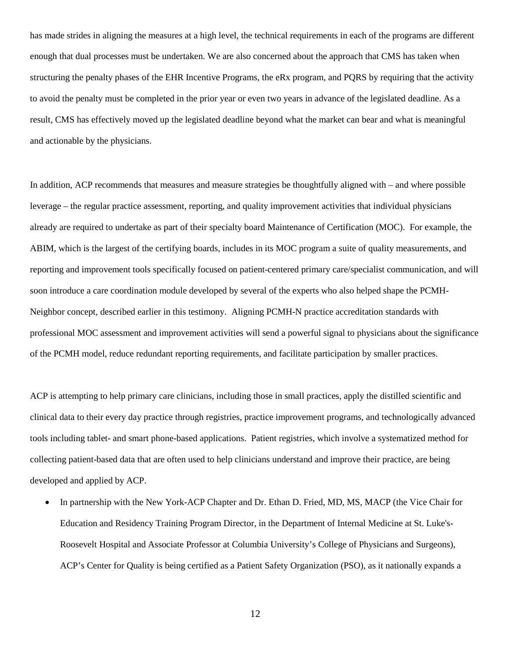has made strides in aligning the measures at a high level, the technical requirements in each of the programs are different enough that dual processes must be undertaken. We are also concerned about the approach that CMS has taken when structuring the penalty phases of the EHR Incentive Programs, the eRx program, and PQRS by requiring that the activity to avoid the penalty must be completed in the prior year or even two years in advance of the legislated deadline. As a result, CMS has effectively moved up the legislated deadline beyond what the market can bear and what is meaningful and actionable by the physicians.

In addition, ACP recommends that measures and measure strategies be thoughtfully aligned with – and where possible leverage – the regular practice assessment, reporting, and quality improvement activities that individual physicians already are required to undertake as part of their specialty board Maintenance of Certification (MOC). For example, the ABIM, which is the largest of the certifying boards, includes in its MOC program a suite of quality measurements, and reporting and improvement tools specifically focused on patient-centered primary care/specialist communication, and will soon introduce a care coordination module developed by several of the experts who also helped shape the PCMH-Neighbor concept, described earlier in this testimony. Aligning PCMH-N practice accreditation standards with professional MOC assessment and improvement activities will send a powerful signal to physicians about the significance of the PCMH model, reduce redundant reporting requirements, and facilitate participation by smaller practices.

ACP is attempting to help primary care clinicians, including those in small practices, apply the distilled scientific and clinical data to their every day practice through registries, practice improvement programs, and technologically advanced tools including tablet- and smart phone-based applications. Patient registries, which involve a systematized method for collecting patient-based data that are often used to help clinicians understand and improve their practice, are being developed and applied by ACP.

• In partnership with the New York-ACP Chapter and Dr. Ethan D. Fried, MD, MS, MACP (the Vice Chair for Education and Residency Training Program Director, in the Department of Internal Medicine at St. Luke's-Roosevelt Hospital and Associate Professor at Columbia University's College of Physicians and Surgeons), ACP's Center for Quality is being certified as a Patient Safety Organization (PSO), as it nationally expands a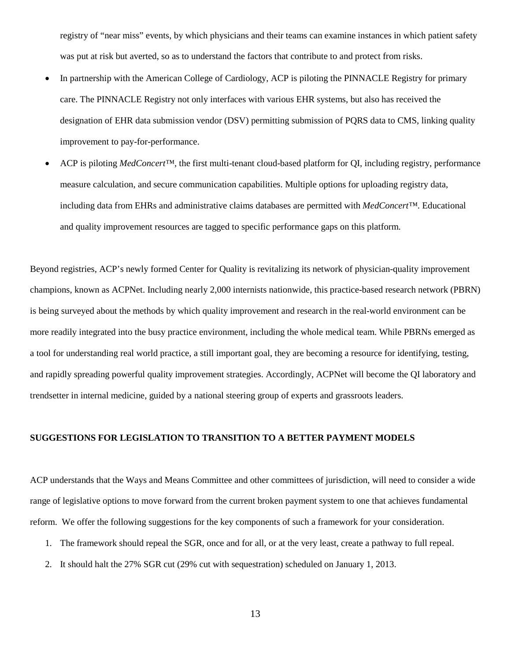registry of "near miss" events, by which physicians and their teams can examine instances in which patient safety was put at risk but averted, so as to understand the factors that contribute to and protect from risks.

- In partnership with the American College of Cardiology, ACP is piloting the PINNACLE Registry for primary care. The PINNACLE Registry not only interfaces with various EHR systems, but also has received the designation of EHR data submission vendor (DSV) permitting submission of PQRS data to CMS, linking quality improvement to pay-for-performance.
- ACP is piloting *MedConcert™,* the first multi-tenant cloud-based platform for QI, including registry, performance measure calculation, and secure communication capabilities. Multiple options for uploading registry data, including data from EHRs and administrative claims databases are permitted with *MedConcert™*. Educational and quality improvement resources are tagged to specific performance gaps on this platform.

Beyond registries, ACP's newly formed Center for Quality is revitalizing its network of physician-quality improvement champions, known as ACPNet. Including nearly 2,000 internists nationwide, this practice-based research network (PBRN) is being surveyed about the methods by which quality improvement and research in the real-world environment can be more readily integrated into the busy practice environment, including the whole medical team. While PBRNs emerged as a tool for understanding real world practice, a still important goal, they are becoming a resource for identifying, testing, and rapidly spreading powerful quality improvement strategies. Accordingly, ACPNet will become the QI laboratory and trendsetter in internal medicine, guided by a national steering group of experts and grassroots leaders.

## **SUGGESTIONS FOR LEGISLATION TO TRANSITION TO A BETTER PAYMENT MODELS**

ACP understands that the Ways and Means Committee and other committees of jurisdiction, will need to consider a wide range of legislative options to move forward from the current broken payment system to one that achieves fundamental reform. We offer the following suggestions for the key components of such a framework for your consideration.

- 1. The framework should repeal the SGR, once and for all, or at the very least, create a pathway to full repeal.
- 2. It should halt the 27% SGR cut (29% cut with sequestration) scheduled on January 1, 2013.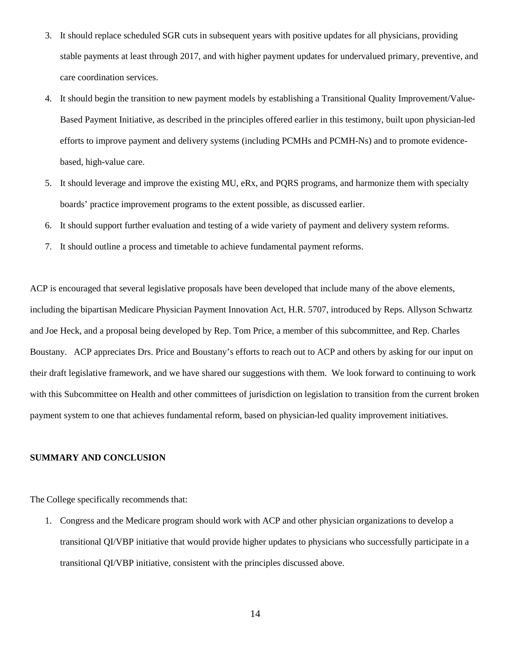- 3. It should replace scheduled SGR cuts in subsequent years with positive updates for all physicians, providing stable payments at least through 2017, and with higher payment updates for undervalued primary, preventive, and care coordination services.
- 4. It should begin the transition to new payment models by establishing a Transitional Quality Improvement/Value-Based Payment Initiative, as described in the principles offered earlier in this testimony, built upon physician-led efforts to improve payment and delivery systems (including PCMHs and PCMH-Ns) and to promote evidencebased, high-value care.
- 5. It should leverage and improve the existing MU, eRx, and PQRS programs, and harmonize them with specialty boards' practice improvement programs to the extent possible, as discussed earlier.
- 6. It should support further evaluation and testing of a wide variety of payment and delivery system reforms.
- 7. It should outline a process and timetable to achieve fundamental payment reforms.

ACP is encouraged that several legislative proposals have been developed that include many of the above elements, including the bipartisan Medicare Physician Payment Innovation Act, H.R. 5707, introduced by Reps. Allyson Schwartz and Joe Heck, and a proposal being developed by Rep. Tom Price, a member of this subcommittee, and Rep. Charles Boustany. ACP appreciates Drs. Price and Boustany's efforts to reach out to ACP and others by asking for our input on their draft legislative framework, and we have shared our suggestions with them. We look forward to continuing to work with this Subcommittee on Health and other committees of jurisdiction on legislation to transition from the current broken payment system to one that achieves fundamental reform, based on physician-led quality improvement initiatives.

## **SUMMARY AND CONCLUSION**

The College specifically recommends that:

1. Congress and the Medicare program should work with ACP and other physician organizations to develop a transitional QI/VBP initiative that would provide higher updates to physicians who successfully participate in a transitional QI/VBP initiative, consistent with the principles discussed above.